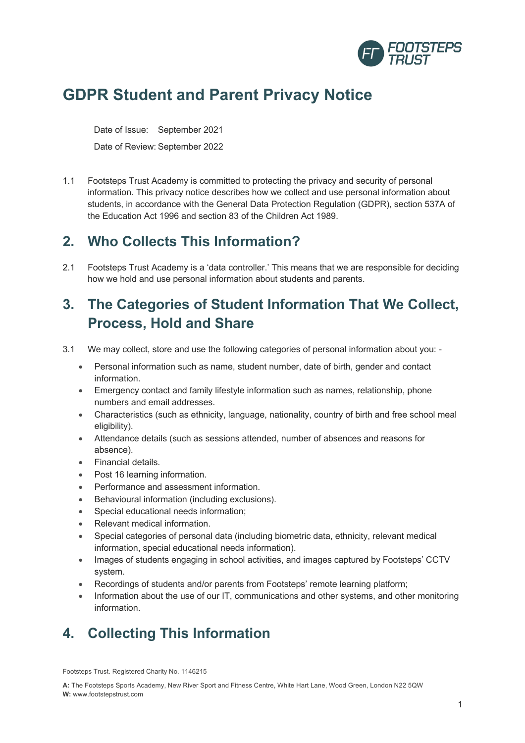

# **GDPR Student and Parent Privacy Notice**

Date of Issue: September 2021

Date of Review: September 2022

1.1 Footsteps Trust Academy is committed to protecting the privacy and security of personal information. This privacy notice describes how we collect and use personal information about students, in accordance with the General Data Protection Regulation (GDPR), section 537A of the Education Act 1996 and section 83 of the Children Act 1989.

## **2. Who Collects This Information?**

2.1 Footsteps Trust Academy is a 'data controller.' This means that we are responsible for deciding how we hold and use personal information about students and parents.

# **3. The Categories of Student Information That We Collect, Process, Hold and Share**

- 3.1 We may collect, store and use the following categories of personal information about you:
	- Personal information such as name, student number, date of birth, gender and contact information.
	- Emergency contact and family lifestyle information such as names, relationship, phone numbers and email addresses.
	- Characteristics (such as ethnicity, language, nationality, country of birth and free school meal eligibility).
	- Attendance details (such as sessions attended, number of absences and reasons for absence).
	- Financial details.
	- Post 16 learning information.
	- Performance and assessment information.
	- Behavioural information (including exclusions).
	- Special educational needs information;
	- Relevant medical information.
	- Special categories of personal data (including biometric data, ethnicity, relevant medical information, special educational needs information).
	- Images of students engaging in school activities, and images captured by Footsteps' CCTV system.
	- Recordings of students and/or parents from Footsteps' remote learning platform;
	- Information about the use of our IT, communications and other systems, and other monitoring information.

# **4. Collecting This Information**

Footsteps Trust. Registered Charity No. 1146215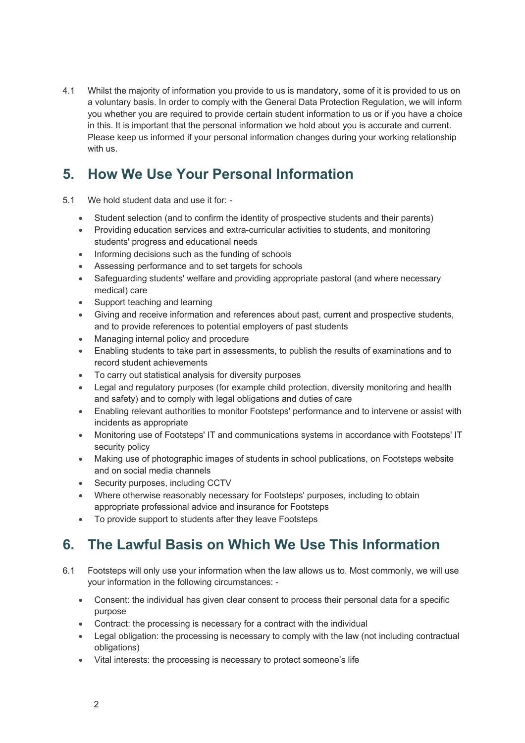4.1 Whilst the majority of information you provide to us is mandatory, some of it is provided to us on a voluntary basis. In order to comply with the General Data Protection Regulation, we will inform you whether you are required to provide certain student information to us or if you have a choice in this. It is important that the personal information we hold about you is accurate and current. Please keep us informed if your personal information changes during your working relationship with us.

# **5. How We Use Your Personal Information**

- 5.1 We hold student data and use it for:
	- Student selection (and to confirm the identity of prospective students and their parents)
	- Providing education services and extra-curricular activities to students, and monitoring students' progress and educational needs
	- Informing decisions such as the funding of schools
	- Assessing performance and to set targets for schools
	- Safeguarding students' welfare and providing appropriate pastoral (and where necessary medical) care
	- Support teaching and learning
	- Giving and receive information and references about past, current and prospective students, and to provide references to potential employers of past students
	- Managing internal policy and procedure
	- Enabling students to take part in assessments, to publish the results of examinations and to record student achievements
	- To carry out statistical analysis for diversity purposes
	- Legal and regulatory purposes (for example child protection, diversity monitoring and health and safety) and to comply with legal obligations and duties of care
	- Enabling relevant authorities to monitor Footsteps' performance and to intervene or assist with incidents as appropriate
	- Monitoring use of Footsteps' IT and communications systems in accordance with Footsteps' IT security policy
	- Making use of photographic images of students in school publications, on Footsteps website and on social media channels
	- Security purposes, including CCTV
	- Where otherwise reasonably necessary for Footsteps' purposes, including to obtain appropriate professional advice and insurance for Footsteps
	- To provide support to students after they leave Footsteps

### **6. The Lawful Basis on Which We Use This Information**

- 6.1 Footsteps will only use your information when the law allows us to. Most commonly, we will use your information in the following circumstances: -
	- Consent: the individual has given clear consent to process their personal data for a specific purpose
	- Contract: the processing is necessary for a contract with the individual
	- Legal obligation: the processing is necessary to comply with the law (not including contractual obligations)
	- Vital interests: the processing is necessary to protect someone's life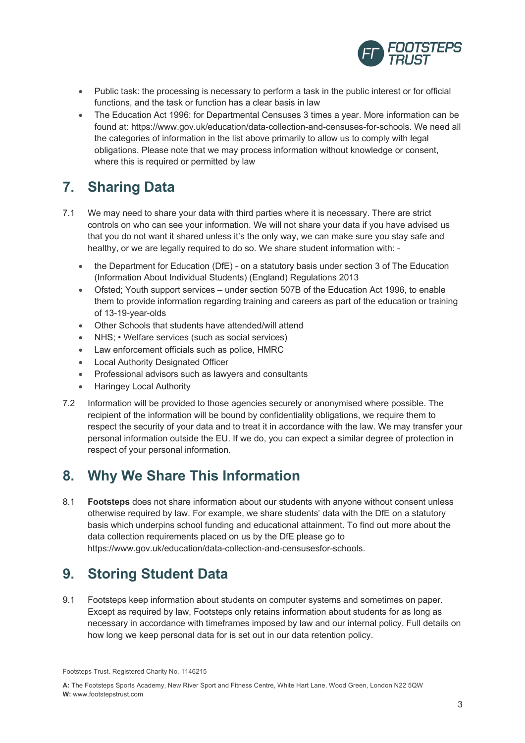

- Public task: the processing is necessary to perform a task in the public interest or for official functions, and the task or function has a clear basis in law
- The Education Act 1996: for Departmental Censuses 3 times a year. More information can be found at: https://www.gov.uk/education/data-collection-and-censuses-for-schools. We need all the categories of information in the list above primarily to allow us to comply with legal obligations. Please note that we may process information without knowledge or consent, where this is required or permitted by law

## **7. Sharing Data**

- 7.1 We may need to share your data with third parties where it is necessary. There are strict controls on who can see your information. We will not share your data if you have advised us that you do not want it shared unless it's the only way, we can make sure you stay safe and healthy, or we are legally required to do so. We share student information with: -
	- the Department for Education (DfE) on a statutory basis under section 3 of The Education (Information About Individual Students) (England) Regulations 2013
	- Ofsted; Youth support services under section 507B of the Education Act 1996, to enable them to provide information regarding training and careers as part of the education or training of 13-19-year-olds
	- Other Schools that students have attended/will attend
	- NHS; Welfare services (such as social services)
	- Law enforcement officials such as police, HMRC
	- Local Authority Designated Officer
	- Professional advisors such as lawyers and consultants
	- Haringey Local Authority
- 7.2 Information will be provided to those agencies securely or anonymised where possible. The recipient of the information will be bound by confidentiality obligations, we require them to respect the security of your data and to treat it in accordance with the law. We may transfer your personal information outside the EU. If we do, you can expect a similar degree of protection in respect of your personal information.

### **8. Why We Share This Information**

8.1 **Footsteps** does not share information about our students with anyone without consent unless otherwise required by law. For example, we share students' data with the DfE on a statutory basis which underpins school funding and educational attainment. To find out more about the data collection requirements placed on us by the DfE please go to https://www.gov.uk/education/data-collection-and-censusesfor-schools.

### **9. Storing Student Data**

9.1 Footsteps keep information about students on computer systems and sometimes on paper. Except as required by law, Footsteps only retains information about students for as long as necessary in accordance with timeframes imposed by law and our internal policy. Full details on how long we keep personal data for is set out in our data retention policy.

Footsteps Trust. Registered Charity No. 1146215

**A:** The Footsteps Sports Academy, New River Sport and Fitness Centre, White Hart Lane, Wood Green, London N22 5QW **W:** www.footstepstrust.com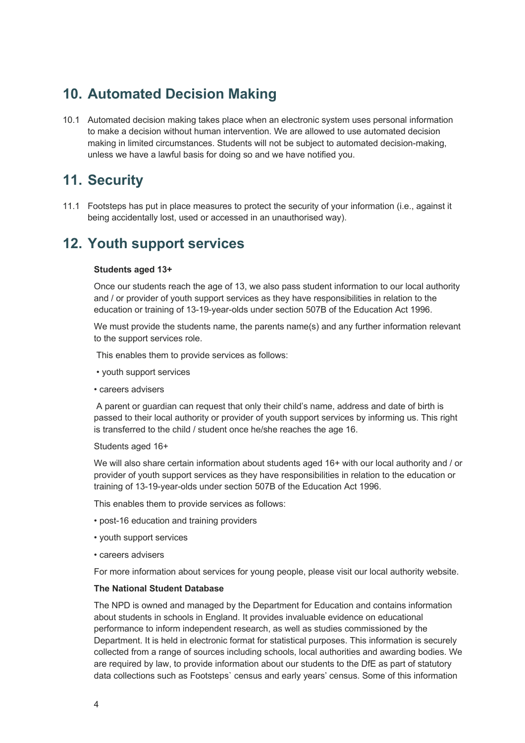### **10. Automated Decision Making**

10.1 Automated decision making takes place when an electronic system uses personal information to make a decision without human intervention. We are allowed to use automated decision making in limited circumstances. Students will not be subject to automated decision-making, unless we have a lawful basis for doing so and we have notified you.

### **11. Security**

11.1 Footsteps has put in place measures to protect the security of your information (i.e., against it being accidentally lost, used or accessed in an unauthorised way).

### **12. Youth support services**

#### **Students aged 13+**

Once our students reach the age of 13, we also pass student information to our local authority and / or provider of youth support services as they have responsibilities in relation to the education or training of 13-19-year-olds under section 507B of the Education Act 1996.

We must provide the students name, the parents name(s) and any further information relevant to the support services role.

This enables them to provide services as follows:

- youth support services
- careers advisers

A parent or guardian can request that only their child's name, address and date of birth is passed to their local authority or provider of youth support services by informing us. This right is transferred to the child / student once he/she reaches the age 16.

#### Students aged 16+

We will also share certain information about students aged 16+ with our local authority and / or provider of youth support services as they have responsibilities in relation to the education or training of 13-19-year-olds under section 507B of the Education Act 1996.

This enables them to provide services as follows:

- post-16 education and training providers
- youth support services
- careers advisers

For more information about services for young people, please visit our local authority website.

#### **The National Student Database**

The NPD is owned and managed by the Department for Education and contains information about students in schools in England. It provides invaluable evidence on educational performance to inform independent research, as well as studies commissioned by the Department. It is held in electronic format for statistical purposes. This information is securely collected from a range of sources including schools, local authorities and awarding bodies. We are required by law, to provide information about our students to the DfE as part of statutory data collections such as Footsteps` census and early years' census. Some of this information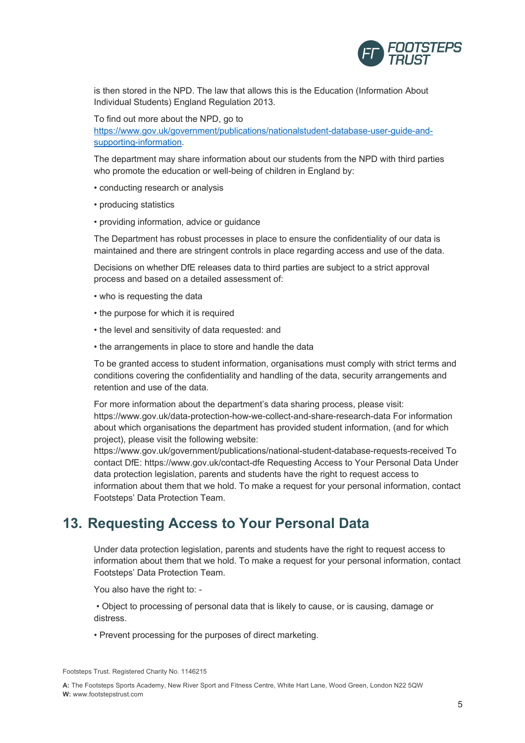

is then stored in the NPD. The law that allows this is the Education (Information About Individual Students) England Regulation 2013.

To find out more about the NPD, go to https://www.gov.uk/government/publications/nationalstudent-database-user-guide-andsupporting-information.

The department may share information about our students from the NPD with third parties who promote the education or well-being of children in England by:

- conducting research or analysis
- producing statistics
- providing information, advice or guidance

The Department has robust processes in place to ensure the confidentiality of our data is maintained and there are stringent controls in place regarding access and use of the data.

Decisions on whether DfE releases data to third parties are subject to a strict approval process and based on a detailed assessment of:

- who is requesting the data
- the purpose for which it is required
- the level and sensitivity of data requested: and
- the arrangements in place to store and handle the data

To be granted access to student information, organisations must comply with strict terms and conditions covering the confidentiality and handling of the data, security arrangements and retention and use of the data.

For more information about the department's data sharing process, please visit: https://www.gov.uk/data-protection-how-we-collect-and-share-research-data For information about which organisations the department has provided student information, (and for which project), please visit the following website:

https://www.gov.uk/government/publications/national-student-database-requests-received To contact DfE: https://www.gov.uk/contact-dfe Requesting Access to Your Personal Data Under data protection legislation, parents and students have the right to request access to information about them that we hold. To make a request for your personal information, contact Footsteps' Data Protection Team.

#### **13. Requesting Access to Your Personal Data**

Under data protection legislation, parents and students have the right to request access to information about them that we hold. To make a request for your personal information, contact Footsteps' Data Protection Team.

You also have the right to: -

• Object to processing of personal data that is likely to cause, or is causing, damage or distress.

• Prevent processing for the purposes of direct marketing.

Footsteps Trust. Registered Charity No. 1146215

**A:** The Footsteps Sports Academy, New River Sport and Fitness Centre, White Hart Lane, Wood Green, London N22 5QW **W:** www.footstepstrust.com